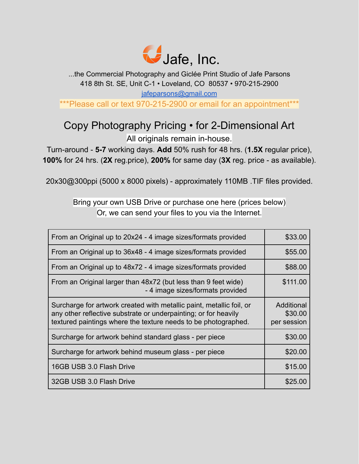

...the Commercial Photography and Giclée Print Studio of Jafe Parsons 418 8th St. SE, Unit C-1 • Loveland, CO 80537 • 970-215-2900 [jafeparsons@gmail.com](mailto:jafeparsons@gmail.com)

\*\*\*Please call or text 970-215-2900 or email for an appointment\*\*\*

### Copy Photography Pricing • for 2-Dimensional Art All originals remain in-house.

Turn-around - **5-7** working days. **Add** 50% rush for 48 hrs. (**1.5X** regular price), **100%** for 24 hrs. (**2X** reg.price), **200%** for same day (**3X** reg. price - as available).

20x30@300ppi (5000 x 8000 pixels) - approximately 110MB .TIF files provided.

#### Bring your own USB Drive or purchase one here (prices below) Or, we can send your files to you via the Internet.

| From an Original up to 20x24 - 4 image sizes/formats provided                                                                                                                                             | \$33.00                              |
|-----------------------------------------------------------------------------------------------------------------------------------------------------------------------------------------------------------|--------------------------------------|
| From an Original up to 36x48 - 4 image sizes/formats provided                                                                                                                                             | \$55.00                              |
| From an Original up to 48x72 - 4 image sizes/formats provided                                                                                                                                             | \$88.00                              |
| From an Original larger than 48x72 (but less than 9 feet wide)<br>- 4 image sizes/formats provided                                                                                                        | \$111.00                             |
| Surcharge for artwork created with metallic paint, metallic foil, or<br>any other reflective substrate or underpainting; or for heavily<br>textured paintings where the texture needs to be photographed. | Additional<br>\$30.00<br>per session |
| Surcharge for artwork behind standard glass - per piece                                                                                                                                                   | \$30.00                              |
| Surcharge for artwork behind museum glass - per piece                                                                                                                                                     | \$20.00                              |
| 16GB USB 3.0 Flash Drive                                                                                                                                                                                  | \$15.00                              |
| 32GB USB 3.0 Flash Drive                                                                                                                                                                                  | \$25.00                              |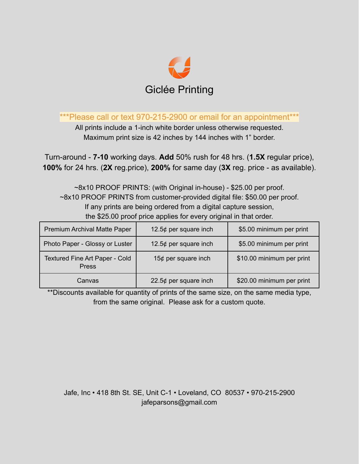

\*\*Please call or text 970-215-2900 or email for an appointment\*\*\*

All prints include a 1-inch white border unless otherwise requested. Maximum print size is 42 inches by 144 inches with 1" border.

Turn-around - **7-10** working days. **Add** 50% rush for 48 hrs. (**1.5X** regular price), **100%** for 24 hrs. (**2X** reg.price), **200%** for same day (**3X** reg. price - as available).

~8x10 PROOF PRINTS: (with Original in-house) - \$25.00 per proof. ~8x10 PROOF PRINTS from customer-provided digital file: \$50.00 per proof. If any prints are being ordered from a digital capture session, the \$25.00 proof price applies for every original in that order.

| Premium Archival Matte Paper                   | 12.5¢ per square inch    | \$5.00 minimum per print  |
|------------------------------------------------|--------------------------|---------------------------|
| Photo Paper - Glossy or Luster                 | 12.5 $¢$ per square inch | \$5.00 minimum per print  |
| Textured Fine Art Paper - Cold<br><b>Press</b> | 15¢ per square inch      | \$10.00 minimum per print |
| Canvas                                         | 22.5 $¢$ per square inch | \$20.00 minimum per print |

\*\*Discounts available for quantity of prints of the same size, on the same media type, from the same original. Please ask for a custom quote.

Jafe, Inc • 418 8th St. SE, Unit C-1 • Loveland, CO 80537 • 970-215-2900 jafeparsons@gmail.com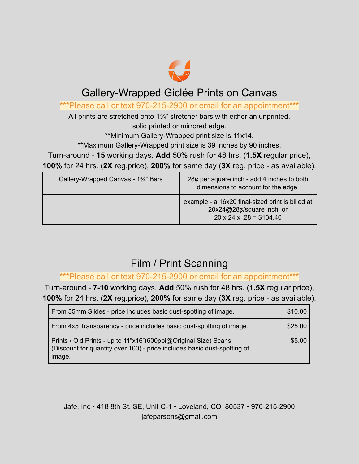

#### Gallery-Wrapped Giclée Prints on Canvas

\*\*\*Please call or text 970-215-2900 or email for an appointment\*\*\*

All prints are stretched onto 1<sup>3</sup>/<sub>4</sub>" stretcher bars with either an unprinted, solid printed or mirrored edge.

\*\*Minimum Gallery-Wrapped print size is 11x14.

\*\*Maximum Gallery-Wrapped print size is 39 inches by 90 inches.

Turn-around - **15** working days. **Add** 50% rush for 48 hrs. (**1.5X** regular price), **100%** for 24 hrs. (**2X** reg.price), **200%** for same day (**3X** reg. price - as available).

| Gallery-Wrapped Canvas - 1 <sup>3</sup> /4" Bars | 28 $¢$ per square inch - add 4 inches to both<br>dimensions to account for the edge.                                  |
|--------------------------------------------------|-----------------------------------------------------------------------------------------------------------------------|
|                                                  | example - a 16x20 final-sized print is billed at<br>20x24@28¢/square inch, or<br>$20 \times 24 \times 0.28 = $134.40$ |

# Film / Print Scanning

\*\*\*Please call or text 970-215-2900 or email for an appointment\*\*\*

Turn-around - **7-10** working days. **Add** 50% rush for 48 hrs. (**1.5X** regular price), **100%** for 24 hrs. (**2X** reg.price), **200%** for same day (**3X** reg. price - as available).

| From 35mm Slides - price includes basic dust-spotting of image.                                                                                       | \$10.00 |
|-------------------------------------------------------------------------------------------------------------------------------------------------------|---------|
| From 4x5 Transparency - price includes basic dust-spotting of image.                                                                                  | \$25.00 |
| Prints / Old Prints - up to 11"x16"(600ppi@Original Size) Scans<br>(Discount for quantity over 100) - price includes basic dust-spotting of<br>image. | \$5.00  |

Jafe, Inc • 418 8th St. SE, Unit C-1 • Loveland, CO 80537 • 970-215-2900 jafeparsons@gmail.com